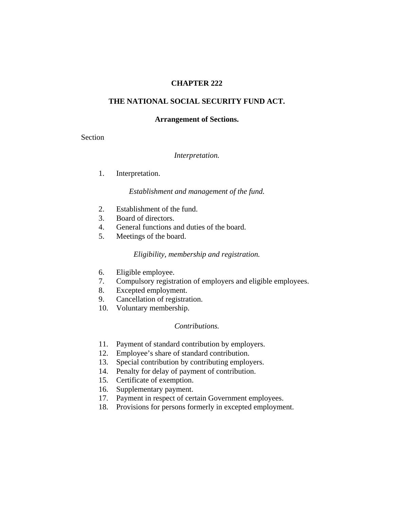## **CHAPTER 222**

## **THE NATIONAL SOCIAL SECURITY FUND ACT.**

#### **Arrangement of Sections.**

Section

### *Interpretation.*

1. Interpretation.

### *Establishment and management of the fund.*

- 2. Establishment of the fund.
- 3. Board of directors.
- 4. General functions and duties of the board.
- 5. Meetings of the board.

## *Eligibility, membership and registration.*

- 6. Eligible employee.
- 7. Compulsory registration of employers and eligible employees.
- 8. Excepted employment.
- 9. Cancellation of registration.
- 10. Voluntary membership.

### *Contributions.*

- 11. Payment of standard contribution by employers.
- 12. Employee's share of standard contribution.
- 13. Special contribution by contributing employers.
- 14. Penalty for delay of payment of contribution.
- 15. Certificate of exemption.
- 16. Supplementary payment.
- 17. Payment in respect of certain Government employees.
- 18. Provisions for persons formerly in excepted employment.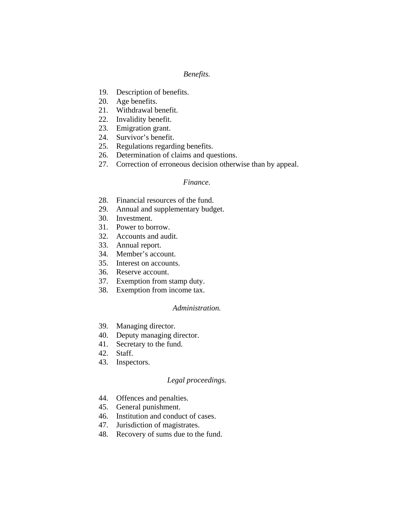## *Benefits.*

- 19. Description of benefits.
- 20. Age benefits.
- 21. Withdrawal benefit.
- 22. Invalidity benefit.
- 23. Emigration grant.
- 24. Survivor's benefit.
- 25. Regulations regarding benefits.
- 26. Determination of claims and questions.
- 27. Correction of erroneous decision otherwise than by appeal.

### *Finance.*

- 28. Financial resources of the fund.
- 29. Annual and supplementary budget.
- 30. Investment.
- 31. Power to borrow.
- 32. Accounts and audit.
- 33. Annual report.
- 34. Member's account.
- 35. Interest on accounts.
- 36. Reserve account.
- 37. Exemption from stamp duty.
- 38. Exemption from income tax.

### *Administration.*

- 39. Managing director.
- 40. Deputy managing director.
- 41. Secretary to the fund.
- 42. Staff.
- 43. Inspectors.

### *Legal proceedings.*

- 44. Offences and penalties.
- 45. General punishment.
- 46. Institution and conduct of cases.
- 47. Jurisdiction of magistrates.
- 48. Recovery of sums due to the fund.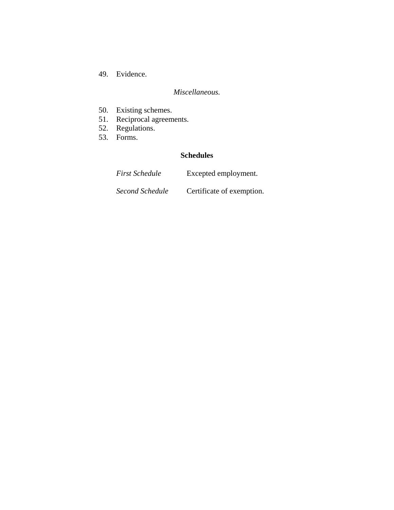49. Evidence.

# *Miscellaneous.*

- 50. Existing schemes.
- 51. Reciprocal agreements.
- 52. Regulations.
- 53. Forms.

# **Schedules**

| <b>First Schedule</b> | Excepted employment.      |
|-----------------------|---------------------------|
| Second Schedule       | Certificate of exemption. |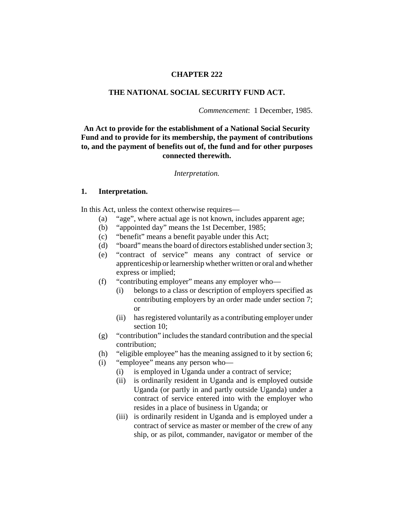### **CHAPTER 222**

### **THE NATIONAL SOCIAL SECURITY FUND ACT.**

*Commencement*: 1 December, 1985.

# **An Act to provide for the establishment of a National Social Security Fund and to provide for its membership, the payment of contributions to, and the payment of benefits out of, the fund and for other purposes connected therewith.**

#### *Interpretation.*

#### **1. Interpretation.**

In this Act, unless the context otherwise requires—

- (a) "age", where actual age is not known, includes apparent age;
- (b) "appointed day" means the 1st December, 1985;
- (c) "benefit" means a benefit payable under this Act;
- (d) "board" means the board of directors established under section 3;
- (e) "contract of service" means any contract of service or apprenticeship or learnership whether written or oral and whether express or implied;
- (f) "contributing employer" means any employer who—
	- (i) belongs to a class or description of employers specified as contributing employers by an order made under section 7; or
	- (ii) has registered voluntarily as a contributing employer under section 10:
- (g) "contribution" includes the standard contribution and the special contribution;
- (h) "eligible employee" has the meaning assigned to it by section 6;
- (i) "employee" means any person who—
	- (i) is employed in Uganda under a contract of service;
	- (ii) is ordinarily resident in Uganda and is employed outside Uganda (or partly in and partly outside Uganda) under a contract of service entered into with the employer who resides in a place of business in Uganda; or
	- (iii) is ordinarily resident in Uganda and is employed under a contract of service as master or member of the crew of any ship, or as pilot, commander, navigator or member of the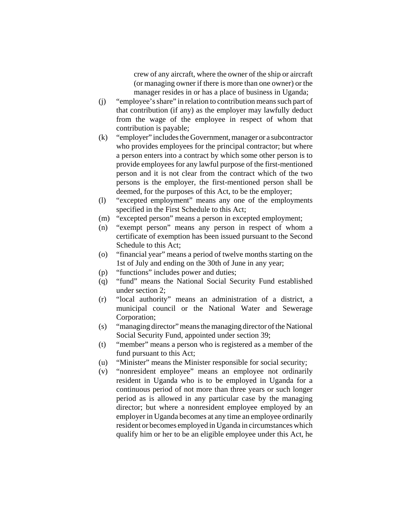crew of any aircraft, where the owner of the ship or aircraft (or managing owner if there is more than one owner) or the manager resides in or has a place of business in Uganda;

- (j) "employee's share" in relation to contribution means such part of that contribution (if any) as the employer may lawfully deduct from the wage of the employee in respect of whom that contribution is payable;
- (k) "employer" includes the Government, manager or a subcontractor who provides employees for the principal contractor; but where a person enters into a contract by which some other person is to provide employees for any lawful purpose of the first-mentioned person and it is not clear from the contract which of the two persons is the employer, the first-mentioned person shall be deemed, for the purposes of this Act, to be the employer;
- (l) "excepted employment" means any one of the employments specified in the First Schedule to this Act;
- (m) "excepted person" means a person in excepted employment;
- (n) "exempt person" means any person in respect of whom a certificate of exemption has been issued pursuant to the Second Schedule to this Act;
- (o) "financial year" means a period of twelve months starting on the 1st of July and ending on the 30th of June in any year;
- (p) "functions" includes power and duties;
- (q) "fund" means the National Social Security Fund established under section 2;
- (r) "local authority" means an administration of a district, a municipal council or the National Water and Sewerage Corporation;
- (s) "managing director" means the managing director of the National Social Security Fund, appointed under section 39;
- (t) "member" means a person who is registered as a member of the fund pursuant to this Act;
- (u) "Minister" means the Minister responsible for social security;
- (v) "nonresident employee" means an employee not ordinarily resident in Uganda who is to be employed in Uganda for a continuous period of not more than three years or such longer period as is allowed in any particular case by the managing director; but where a nonresident employee employed by an employer in Uganda becomes at any time an employee ordinarily resident or becomes employed in Uganda in circumstances which qualify him or her to be an eligible employee under this Act, he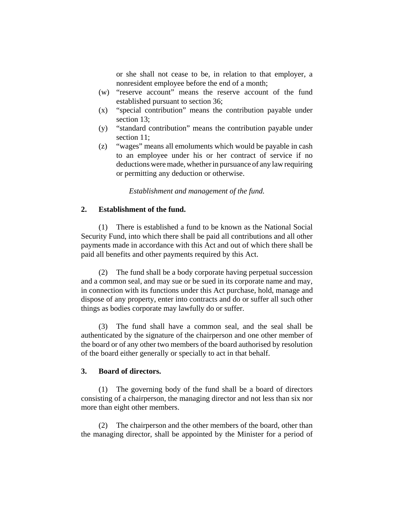or she shall not cease to be, in relation to that employer, a nonresident employee before the end of a month;

- (w) "reserve account" means the reserve account of the fund established pursuant to section 36;
- (x) "special contribution" means the contribution payable under section 13;
- (y) "standard contribution" means the contribution payable under section 11;
- (z) "wages" means all emoluments which would be payable in cash to an employee under his or her contract of service if no deductions were made, whether in pursuance of any law requiring or permitting any deduction or otherwise.

*Establishment and management of the fund.*

### **2. Establishment of the fund.**

(1) There is established a fund to be known as the National Social Security Fund, into which there shall be paid all contributions and all other payments made in accordance with this Act and out of which there shall be paid all benefits and other payments required by this Act.

(2) The fund shall be a body corporate having perpetual succession and a common seal, and may sue or be sued in its corporate name and may, in connection with its functions under this Act purchase, hold, manage and dispose of any property, enter into contracts and do or suffer all such other things as bodies corporate may lawfully do or suffer.

(3) The fund shall have a common seal, and the seal shall be authenticated by the signature of the chairperson and one other member of the board or of any other two members of the board authorised by resolution of the board either generally or specially to act in that behalf.

### **3. Board of directors.**

(1) The governing body of the fund shall be a board of directors consisting of a chairperson, the managing director and not less than six nor more than eight other members.

(2) The chairperson and the other members of the board, other than the managing director, shall be appointed by the Minister for a period of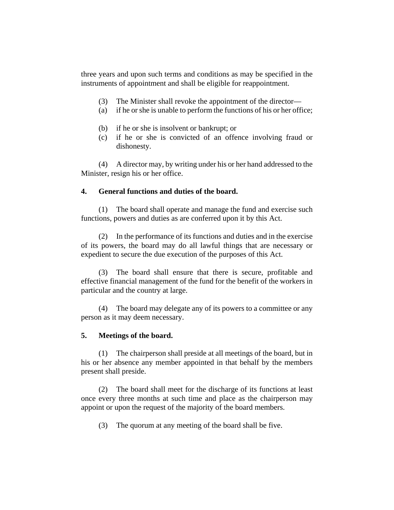three years and upon such terms and conditions as may be specified in the instruments of appointment and shall be eligible for reappointment.

- (3) The Minister shall revoke the appointment of the director—
- (a) if he or she is unable to perform the functions of his or her office;
- (b) if he or she is insolvent or bankrupt; or
- (c) if he or she is convicted of an offence involving fraud or dishonesty.

(4) A director may, by writing under his or her hand addressed to the Minister, resign his or her office.

# **4. General functions and duties of the board.**

(1) The board shall operate and manage the fund and exercise such functions, powers and duties as are conferred upon it by this Act.

(2) In the performance of its functions and duties and in the exercise of its powers, the board may do all lawful things that are necessary or expedient to secure the due execution of the purposes of this Act.

(3) The board shall ensure that there is secure, profitable and effective financial management of the fund for the benefit of the workers in particular and the country at large.

(4) The board may delegate any of its powers to a committee or any person as it may deem necessary.

## **5. Meetings of the board.**

(1) The chairperson shall preside at all meetings of the board, but in his or her absence any member appointed in that behalf by the members present shall preside.

(2) The board shall meet for the discharge of its functions at least once every three months at such time and place as the chairperson may appoint or upon the request of the majority of the board members.

(3) The quorum at any meeting of the board shall be five.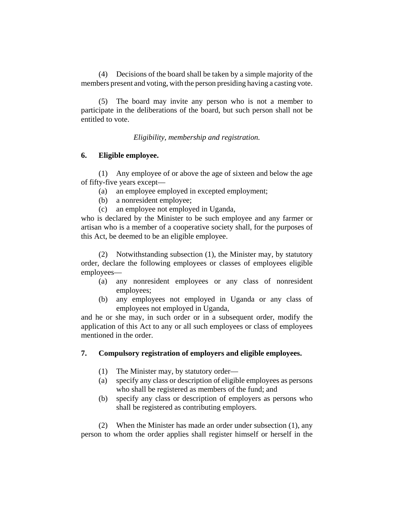(4) Decisions of the board shall be taken by a simple majority of the members present and voting, with the person presiding having a casting vote.

(5) The board may invite any person who is not a member to participate in the deliberations of the board, but such person shall not be entitled to vote.

*Eligibility, membership and registration.*

## **6. Eligible employee.**

(1) Any employee of or above the age of sixteen and below the age of fifty-five years except—

- (a) an employee employed in excepted employment;
- (b) a nonresident employee;
- (c) an employee not employed in Uganda,

who is declared by the Minister to be such employee and any farmer or artisan who is a member of a cooperative society shall, for the purposes of this Act, be deemed to be an eligible employee.

(2) Notwithstanding subsection (1), the Minister may, by statutory order, declare the following employees or classes of employees eligible employees—

- (a) any nonresident employees or any class of nonresident employees;
- (b) any employees not employed in Uganda or any class of employees not employed in Uganda,

and he or she may, in such order or in a subsequent order, modify the application of this Act to any or all such employees or class of employees mentioned in the order.

## **7. Compulsory registration of employers and eligible employees.**

- (1) The Minister may, by statutory order—
- (a) specify any class or description of eligible employees as persons who shall be registered as members of the fund; and
- (b) specify any class or description of employers as persons who shall be registered as contributing employers.

(2) When the Minister has made an order under subsection (1), any person to whom the order applies shall register himself or herself in the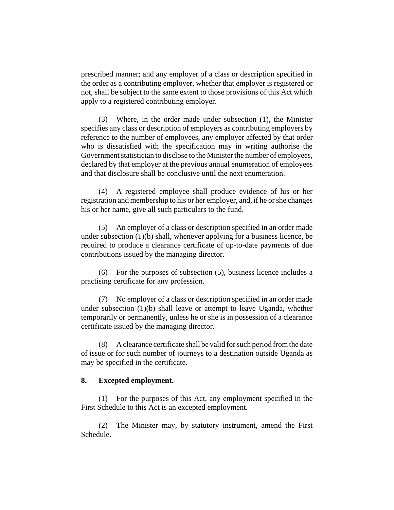prescribed manner; and any employer of a class or description specified in the order as a contributing employer, whether that employer is registered or not, shall be subject to the same extent to those provisions of this Act which apply to a registered contributing employer.

(3) Where, in the order made under subsection (1), the Minister specifies any class or description of employers as contributing employers by reference to the number of employees, any employer affected by that order who is dissatisfied with the specification may in writing authorise the Government statistician to disclose to the Minister the number of employees, declared by that employer at the previous annual enumeration of employees and that disclosure shall be conclusive until the next enumeration.

(4) A registered employee shall produce evidence of his or her registration and membership to his or her employer, and, if he or she changes his or her name, give all such particulars to the fund.

(5) An employer of a class or description specified in an order made under subsection (1)(b) shall, whenever applying for a business licence, be required to produce a clearance certificate of up-to-date payments of due contributions issued by the managing director.

(6) For the purposes of subsection (5), business licence includes a practising certificate for any profession.

(7) No employer of a class or description specified in an order made under subsection (1)(b) shall leave or attempt to leave Uganda, whether temporarily or permanently, unless he or she is in possession of a clearance certificate issued by the managing director.

(8) A clearance certificate shall be valid for such period from the date of issue or for such number of journeys to a destination outside Uganda as may be specified in the certificate.

### **8. Excepted employment.**

(1) For the purposes of this Act, any employment specified in the First Schedule to this Act is an excepted employment.

(2) The Minister may, by statutory instrument, amend the First Schedule.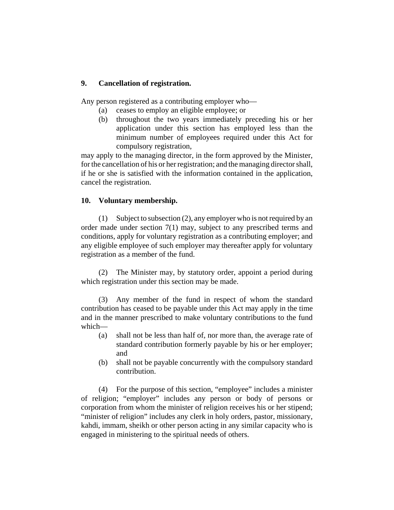# **9. Cancellation of registration.**

Any person registered as a contributing employer who—

- (a) ceases to employ an eligible employee; or
- (b) throughout the two years immediately preceding his or her application under this section has employed less than the minimum number of employees required under this Act for compulsory registration,

may apply to the managing director, in the form approved by the Minister, for the cancellation of his or her registration; and the managing director shall, if he or she is satisfied with the information contained in the application, cancel the registration.

## **10. Voluntary membership.**

(1) Subject to subsection (2), any employer who is not required by an order made under section 7(1) may, subject to any prescribed terms and conditions, apply for voluntary registration as a contributing employer; and any eligible employee of such employer may thereafter apply for voluntary registration as a member of the fund.

(2) The Minister may, by statutory order, appoint a period during which registration under this section may be made.

(3) Any member of the fund in respect of whom the standard contribution has ceased to be payable under this Act may apply in the time and in the manner prescribed to make voluntary contributions to the fund which—

- (a) shall not be less than half of, nor more than, the average rate of standard contribution formerly payable by his or her employer; and
- (b) shall not be payable concurrently with the compulsory standard contribution.

(4) For the purpose of this section, "employee" includes a minister of religion; "employer" includes any person or body of persons or corporation from whom the minister of religion receives his or her stipend; "minister of religion" includes any clerk in holy orders, pastor, missionary, kahdi, immam, sheikh or other person acting in any similar capacity who is engaged in ministering to the spiritual needs of others.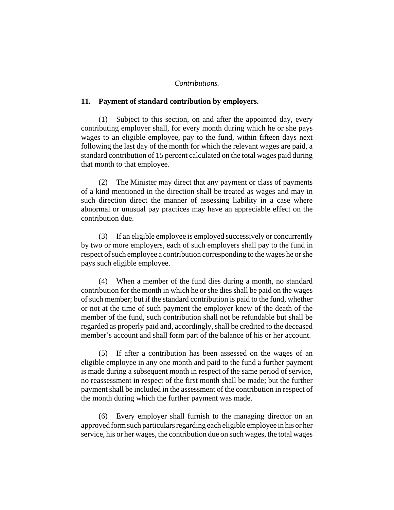#### *Contributions.*

#### **11. Payment of standard contribution by employers.**

(1) Subject to this section, on and after the appointed day, every contributing employer shall, for every month during which he or she pays wages to an eligible employee, pay to the fund, within fifteen days next following the last day of the month for which the relevant wages are paid, a standard contribution of 15 percent calculated on the total wages paid during that month to that employee.

(2) The Minister may direct that any payment or class of payments of a kind mentioned in the direction shall be treated as wages and may in such direction direct the manner of assessing liability in a case where abnormal or unusual pay practices may have an appreciable effect on the contribution due.

(3) If an eligible employee is employed successively or concurrently by two or more employers, each of such employers shall pay to the fund in respect of such employee a contribution corresponding to the wages he or she pays such eligible employee.

(4) When a member of the fund dies during a month, no standard contribution for the month in which he or she dies shall be paid on the wages of such member; but if the standard contribution is paid to the fund, whether or not at the time of such payment the employer knew of the death of the member of the fund, such contribution shall not be refundable but shall be regarded as properly paid and, accordingly, shall be credited to the deceased member's account and shall form part of the balance of his or her account.

(5) If after a contribution has been assessed on the wages of an eligible employee in any one month and paid to the fund a further payment is made during a subsequent month in respect of the same period of service, no reassessment in respect of the first month shall be made; but the further payment shall be included in the assessment of the contribution in respect of the month during which the further payment was made.

(6) Every employer shall furnish to the managing director on an approved form such particulars regarding each eligible employee in his or her service, his or her wages, the contribution due on such wages, the total wages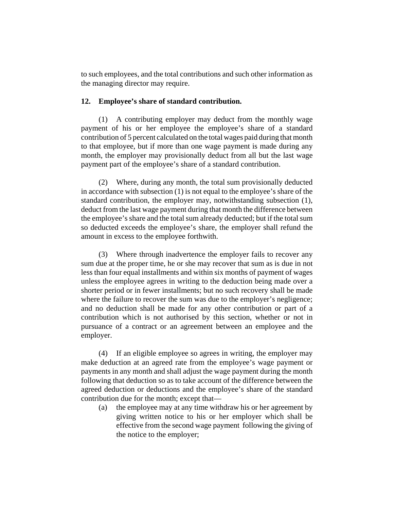to such employees, and the total contributions and such other information as the managing director may require.

### **12. Employee's share of standard contribution.**

(1) A contributing employer may deduct from the monthly wage payment of his or her employee the employee's share of a standard contribution of 5 percent calculated on the total wages paid during that month to that employee, but if more than one wage payment is made during any month, the employer may provisionally deduct from all but the last wage payment part of the employee's share of a standard contribution.

(2) Where, during any month, the total sum provisionally deducted in accordance with subsection (1) is not equal to the employee's share of the standard contribution, the employer may, notwithstanding subsection (1), deduct from the last wage payment during that month the difference between the employee's share and the total sum already deducted; but if the total sum so deducted exceeds the employee's share, the employer shall refund the amount in excess to the employee forthwith.

(3) Where through inadvertence the employer fails to recover any sum due at the proper time, he or she may recover that sum as is due in not less than four equal installments and within six months of payment of wages unless the employee agrees in writing to the deduction being made over a shorter period or in fewer installments; but no such recovery shall be made where the failure to recover the sum was due to the employer's negligence; and no deduction shall be made for any other contribution or part of a contribution which is not authorised by this section, whether or not in pursuance of a contract or an agreement between an employee and the employer.

(4) If an eligible employee so agrees in writing, the employer may make deduction at an agreed rate from the employee's wage payment or payments in any month and shall adjust the wage payment during the month following that deduction so as to take account of the difference between the agreed deduction or deductions and the employee's share of the standard contribution due for the month; except that—

(a) the employee may at any time withdraw his or her agreement by giving written notice to his or her employer which shall be effective from the second wage payment following the giving of the notice to the employer;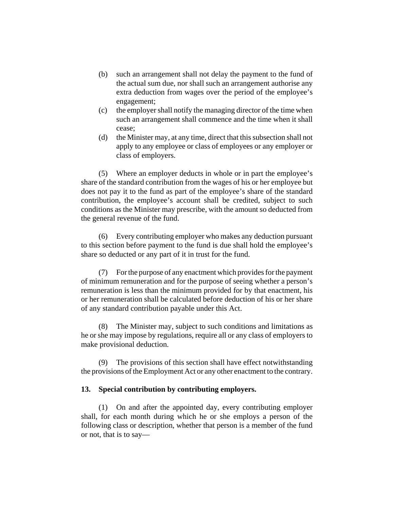- (b) such an arrangement shall not delay the payment to the fund of the actual sum due, nor shall such an arrangement authorise any extra deduction from wages over the period of the employee's engagement;
- (c) the employer shall notify the managing director of the time when such an arrangement shall commence and the time when it shall cease;
- (d) the Minister may, at any time, direct that this subsection shall not apply to any employee or class of employees or any employer or class of employers.

(5) Where an employer deducts in whole or in part the employee's share of the standard contribution from the wages of his or her employee but does not pay it to the fund as part of the employee's share of the standard contribution, the employee's account shall be credited, subject to such conditions as the Minister may prescribe, with the amount so deducted from the general revenue of the fund.

(6) Every contributing employer who makes any deduction pursuant to this section before payment to the fund is due shall hold the employee's share so deducted or any part of it in trust for the fund.

(7) For the purpose of any enactment which provides for the payment of minimum remuneration and for the purpose of seeing whether a person's remuneration is less than the minimum provided for by that enactment, his or her remuneration shall be calculated before deduction of his or her share of any standard contribution payable under this Act.

(8) The Minister may, subject to such conditions and limitations as he or she may impose by regulations, require all or any class of employers to make provisional deduction.

(9) The provisions of this section shall have effect notwithstanding the provisions of the Employment Act or any other enactment to the contrary.

### **13. Special contribution by contributing employers.**

(1) On and after the appointed day, every contributing employer shall, for each month during which he or she employs a person of the following class or description, whether that person is a member of the fund or not, that is to say—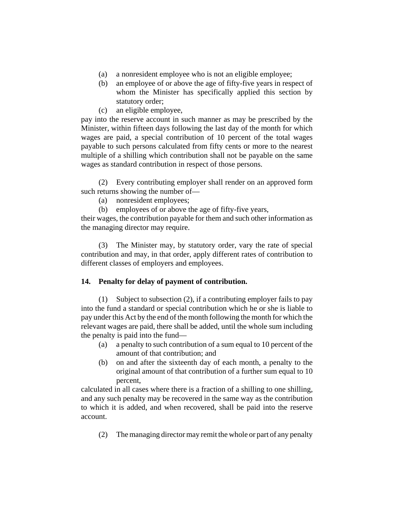- (a) a nonresident employee who is not an eligible employee;
- (b) an employee of or above the age of fifty-five years in respect of whom the Minister has specifically applied this section by statutory order;
- (c) an eligible employee,

pay into the reserve account in such manner as may be prescribed by the Minister, within fifteen days following the last day of the month for which wages are paid, a special contribution of 10 percent of the total wages payable to such persons calculated from fifty cents or more to the nearest multiple of a shilling which contribution shall not be payable on the same wages as standard contribution in respect of those persons.

(2) Every contributing employer shall render on an approved form such returns showing the number of—

- (a) nonresident employees;
- (b) employees of or above the age of fifty-five years,

their wages, the contribution payable for them and such other information as the managing director may require.

(3) The Minister may, by statutory order, vary the rate of special contribution and may, in that order, apply different rates of contribution to different classes of employers and employees.

# **14. Penalty for delay of payment of contribution.**

(1) Subject to subsection (2), if a contributing employer fails to pay into the fund a standard or special contribution which he or she is liable to pay under this Act by the end of the month following the month for which the relevant wages are paid, there shall be added, until the whole sum including the penalty is paid into the fund—

- (a) a penalty to such contribution of a sum equal to 10 percent of the amount of that contribution; and
- (b) on and after the sixteenth day of each month, a penalty to the original amount of that contribution of a further sum equal to 10 percent,

calculated in all cases where there is a fraction of a shilling to one shilling, and any such penalty may be recovered in the same way as the contribution to which it is added, and when recovered, shall be paid into the reserve account.

(2) The managing director may remit the whole or part of any penalty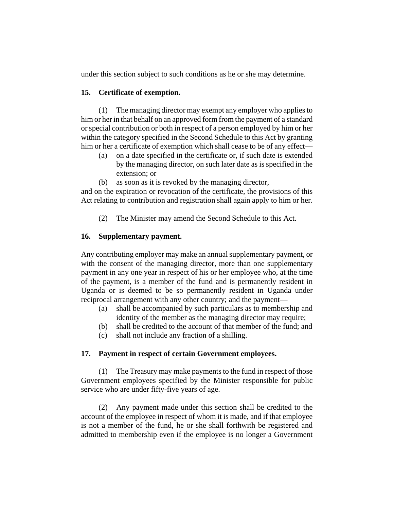under this section subject to such conditions as he or she may determine.

## **15. Certificate of exemption.**

(1) The managing director may exempt any employer who applies to him or her in that behalf on an approved form from the payment of a standard or special contribution or both in respect of a person employed by him or her within the category specified in the Second Schedule to this Act by granting him or her a certificate of exemption which shall cease to be of any effect—

- (a) on a date specified in the certificate or, if such date is extended by the managing director, on such later date as is specified in the extension; or
- (b) as soon as it is revoked by the managing director,

and on the expiration or revocation of the certificate, the provisions of this Act relating to contribution and registration shall again apply to him or her.

(2) The Minister may amend the Second Schedule to this Act.

# **16. Supplementary payment.**

Any contributing employer may make an annual supplementary payment, or with the consent of the managing director, more than one supplementary payment in any one year in respect of his or her employee who, at the time of the payment, is a member of the fund and is permanently resident in Uganda or is deemed to be so permanently resident in Uganda under reciprocal arrangement with any other country; and the payment—

- (a) shall be accompanied by such particulars as to membership and identity of the member as the managing director may require;
- (b) shall be credited to the account of that member of the fund; and
- (c) shall not include any fraction of a shilling.

## **17. Payment in respect of certain Government employees.**

(1) The Treasury may make payments to the fund in respect of those Government employees specified by the Minister responsible for public service who are under fifty-five years of age.

(2) Any payment made under this section shall be credited to the account of the employee in respect of whom it is made, and if that employee is not a member of the fund, he or she shall forthwith be registered and admitted to membership even if the employee is no longer a Government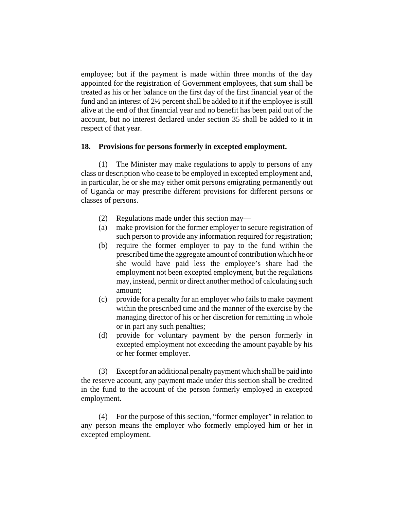employee; but if the payment is made within three months of the day appointed for the registration of Government employees, that sum shall be treated as his or her balance on the first day of the first financial year of the fund and an interest of 2½ percent shall be added to it if the employee is still alive at the end of that financial year and no benefit has been paid out of the account, but no interest declared under section 35 shall be added to it in respect of that year.

### **18. Provisions for persons formerly in excepted employment.**

(1) The Minister may make regulations to apply to persons of any class or description who cease to be employed in excepted employment and, in particular, he or she may either omit persons emigrating permanently out of Uganda or may prescribe different provisions for different persons or classes of persons.

- (2) Regulations made under this section may—
- (a) make provision for the former employer to secure registration of such person to provide any information required for registration;
- (b) require the former employer to pay to the fund within the prescribed time the aggregate amount of contribution which he or she would have paid less the employee's share had the employment not been excepted employment, but the regulations may, instead, permit or direct another method of calculating such amount;
- (c) provide for a penalty for an employer who fails to make payment within the prescribed time and the manner of the exercise by the managing director of his or her discretion for remitting in whole or in part any such penalties;
- (d) provide for voluntary payment by the person formerly in excepted employment not exceeding the amount payable by his or her former employer.

(3) Except for an additional penalty payment which shall be paid into the reserve account, any payment made under this section shall be credited in the fund to the account of the person formerly employed in excepted employment.

(4) For the purpose of this section, "former employer" in relation to any person means the employer who formerly employed him or her in excepted employment.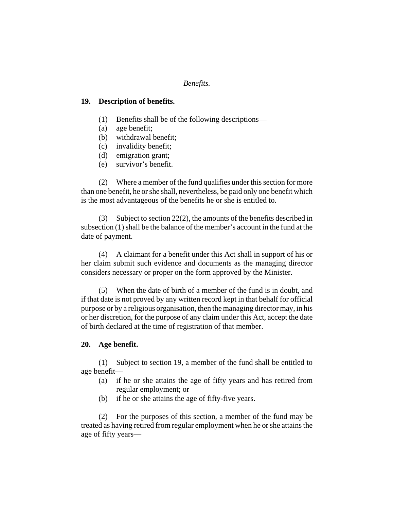### *Benefits.*

#### **19. Description of benefits.**

- (1) Benefits shall be of the following descriptions—
- (a) age benefit;
- (b) withdrawal benefit;
- (c) invalidity benefit;
- (d) emigration grant;
- (e) survivor's benefit.

(2) Where a member of the fund qualifies under this section for more than one benefit, he or she shall, nevertheless, be paid only one benefit which is the most advantageous of the benefits he or she is entitled to.

(3) Subject to section 22(2), the amounts of the benefits described in subsection (1) shall be the balance of the member's account in the fund at the date of payment.

(4) A claimant for a benefit under this Act shall in support of his or her claim submit such evidence and documents as the managing director considers necessary or proper on the form approved by the Minister.

(5) When the date of birth of a member of the fund is in doubt, and if that date is not proved by any written record kept in that behalf for official purpose or by a religious organisation, then the managing director may, in his or her discretion, for the purpose of any claim under this Act, accept the date of birth declared at the time of registration of that member.

### **20. Age benefit.**

(1) Subject to section 19, a member of the fund shall be entitled to age benefit—

- (a) if he or she attains the age of fifty years and has retired from regular employment; or
- (b) if he or she attains the age of fifty-five years.

(2) For the purposes of this section, a member of the fund may be treated as having retired from regular employment when he or she attains the age of fifty years—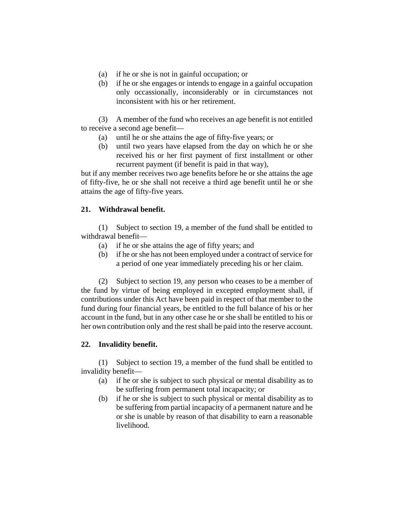- (a) if he or she is not in gainful occupation; or
- (b) if he or she engages or intends to engage in a gainful occupation only occassionally, inconsiderably or in circumstances not inconsistent with his or her retirement.

(3) A member of the fund who receives an age benefit is not entitled to receive a second age benefit—

- (a) until he or she attains the age of fifty-five years; or
- (b) until two years have elapsed from the day on which he or she received his or her first payment of first installment or other recurrent payment (if benefit is paid in that way),

but if any member receives two age benefits before he or she attains the age of fifty-five, he or she shall not receive a third age benefit until he or she attains the age of fifty-five years.

# **21. Withdrawal benefit.**

(1) Subject to section 19, a member of the fund shall be entitled to withdrawal benefit—

- (a) if he or she attains the age of fifty years; and
- (b) if he or she has not been employed under a contract of service for a period of one year immediately preceding his or her claim.

(2) Subject to section 19, any person who ceases to be a member of the fund by virtue of being employed in excepted employment shall, if contributions under this Act have been paid in respect of that member to the fund during four financial years, be entitled to the full balance of his or her account in the fund, but in any other case he or she shall be entitled to his or her own contribution only and the rest shall be paid into the reserve account.

## **22. Invalidity benefit.**

(1) Subject to section 19, a member of the fund shall be entitled to invalidity benefit—

- (a) if he or she is subject to such physical or mental disability as to be suffering from permanent total incapacity; or
- (b) if he or she is subject to such physical or mental disability as to be suffering from partial incapacity of a permanent nature and he or she is unable by reason of that disability to earn a reasonable livelihood.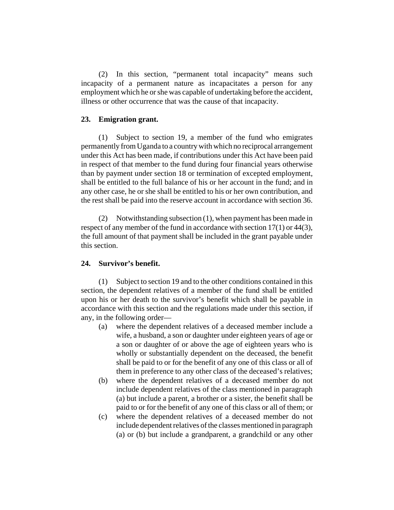(2) In this section, "permanent total incapacity" means such incapacity of a permanent nature as incapacitates a person for any employment which he or she was capable of undertaking before the accident, illness or other occurrence that was the cause of that incapacity.

### **23. Emigration grant.**

(1) Subject to section 19, a member of the fund who emigrates permanently from Uganda to a country with which no reciprocal arrangement under this Act has been made, if contributions under this Act have been paid in respect of that member to the fund during four financial years otherwise than by payment under section 18 or termination of excepted employment, shall be entitled to the full balance of his or her account in the fund; and in any other case, he or she shall be entitled to his or her own contribution, and the rest shall be paid into the reserve account in accordance with section 36.

(2) Notwithstanding subsection (1), when payment has been made in respect of any member of the fund in accordance with section 17(1) or 44(3), the full amount of that payment shall be included in the grant payable under this section.

### **24. Survivor's benefit.**

(1) Subject to section 19 and to the other conditions contained in this section, the dependent relatives of a member of the fund shall be entitled upon his or her death to the survivor's benefit which shall be payable in accordance with this section and the regulations made under this section, if any, in the following order—

- (a) where the dependent relatives of a deceased member include a wife, a husband, a son or daughter under eighteen years of age or a son or daughter of or above the age of eighteen years who is wholly or substantially dependent on the deceased, the benefit shall be paid to or for the benefit of any one of this class or all of them in preference to any other class of the deceased's relatives;
- (b) where the dependent relatives of a deceased member do not include dependent relatives of the class mentioned in paragraph (a) but include a parent, a brother or a sister, the benefit shall be paid to or for the benefit of any one of this class or all of them; or
- (c) where the dependent relatives of a deceased member do not include dependent relatives of the classes mentioned in paragraph (a) or (b) but include a grandparent, a grandchild or any other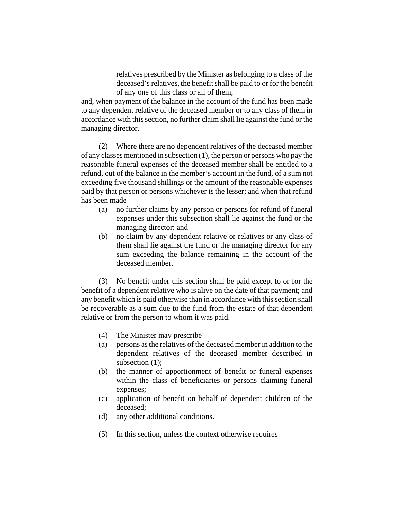relatives prescribed by the Minister as belonging to a class of the deceased's relatives, the benefit shall be paid to or for the benefit of any one of this class or all of them,

and, when payment of the balance in the account of the fund has been made to any dependent relative of the deceased member or to any class of them in accordance with this section, no further claim shall lie against the fund or the managing director.

(2) Where there are no dependent relatives of the deceased member of any classes mentioned in subsection (1), the person or persons who pay the reasonable funeral expenses of the deceased member shall be entitled to a refund, out of the balance in the member's account in the fund, of a sum not exceeding five thousand shillings or the amount of the reasonable expenses paid by that person or persons whichever is the lesser; and when that refund has been made—

- (a) no further claims by any person or persons for refund of funeral expenses under this subsection shall lie against the fund or the managing director; and
- (b) no claim by any dependent relative or relatives or any class of them shall lie against the fund or the managing director for any sum exceeding the balance remaining in the account of the deceased member.

(3) No benefit under this section shall be paid except to or for the benefit of a dependent relative who is alive on the date of that payment; and any benefit which is paid otherwise than in accordance with this section shall be recoverable as a sum due to the fund from the estate of that dependent relative or from the person to whom it was paid.

- (4) The Minister may prescribe—
- (a) persons as the relatives of the deceased member in addition to the dependent relatives of the deceased member described in subsection  $(1)$ ;
- (b) the manner of apportionment of benefit or funeral expenses within the class of beneficiaries or persons claiming funeral expenses;
- (c) application of benefit on behalf of dependent children of the deceased;
- (d) any other additional conditions.
- (5) In this section, unless the context otherwise requires—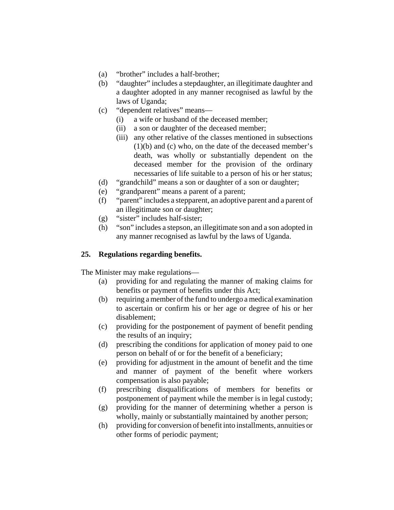- (a) "brother" includes a half-brother;
- (b) "daughter" includes a stepdaughter, an illegitimate daughter and a daughter adopted in any manner recognised as lawful by the laws of Uganda;
- (c) "dependent relatives" means—
	- (i) a wife or husband of the deceased member;
	- (ii) a son or daughter of the deceased member;
	- (iii) any other relative of the classes mentioned in subsections (1)(b) and (c) who, on the date of the deceased member's death, was wholly or substantially dependent on the deceased member for the provision of the ordinary necessaries of life suitable to a person of his or her status;
- (d) "grandchild" means a son or daughter of a son or daughter;
- (e) "grandparent" means a parent of a parent;
- (f) "parent" includes a stepparent, an adoptive parent and a parent of an illegitimate son or daughter;
- (g) "sister" includes half-sister;
- (h) "son" includes a stepson, an illegitimate son and a son adopted in any manner recognised as lawful by the laws of Uganda.

# **25. Regulations regarding benefits.**

The Minister may make regulations—

- (a) providing for and regulating the manner of making claims for benefits or payment of benefits under this Act;
- (b) requiring a member of the fund to undergo a medical examination to ascertain or confirm his or her age or degree of his or her disablement;
- (c) providing for the postponement of payment of benefit pending the results of an inquiry;
- (d) prescribing the conditions for application of money paid to one person on behalf of or for the benefit of a beneficiary;
- (e) providing for adjustment in the amount of benefit and the time and manner of payment of the benefit where workers compensation is also payable;
- (f) prescribing disqualifications of members for benefits or postponement of payment while the member is in legal custody;
- (g) providing for the manner of determining whether a person is wholly, mainly or substantially maintained by another person;
- (h) providing for conversion of benefit into installments, annuities or other forms of periodic payment;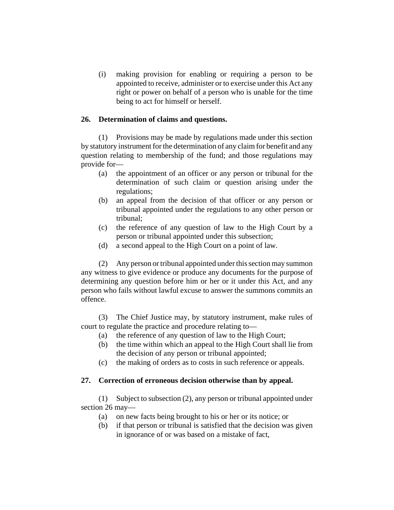(i) making provision for enabling or requiring a person to be appointed to receive, administer or to exercise under this Act any right or power on behalf of a person who is unable for the time being to act for himself or herself.

### **26. Determination of claims and questions.**

(1) Provisions may be made by regulations made under this section by statutory instrument for the determination of any claim for benefit and any question relating to membership of the fund; and those regulations may provide for—

- (a) the appointment of an officer or any person or tribunal for the determination of such claim or question arising under the regulations;
- (b) an appeal from the decision of that officer or any person or tribunal appointed under the regulations to any other person or tribunal;
- (c) the reference of any question of law to the High Court by a person or tribunal appointed under this subsection;
- (d) a second appeal to the High Court on a point of law.

(2) Any person or tribunal appointed under this section may summon any witness to give evidence or produce any documents for the purpose of determining any question before him or her or it under this Act, and any person who fails without lawful excuse to answer the summons commits an offence.

(3) The Chief Justice may, by statutory instrument, make rules of court to regulate the practice and procedure relating to—

- (a) the reference of any question of law to the High Court;
- (b) the time within which an appeal to the High Court shall lie from the decision of any person or tribunal appointed;
- (c) the making of orders as to costs in such reference or appeals.

## **27. Correction of erroneous decision otherwise than by appeal.**

(1) Subject to subsection (2), any person or tribunal appointed under section 26 may—

- (a) on new facts being brought to his or her or its notice; or
- (b) if that person or tribunal is satisfied that the decision was given in ignorance of or was based on a mistake of fact,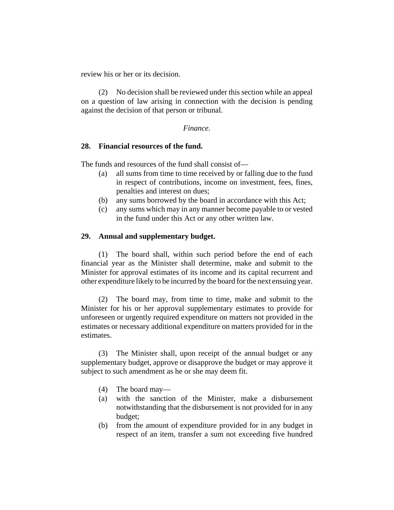review his or her or its decision.

(2) No decision shall be reviewed under this section while an appeal on a question of law arising in connection with the decision is pending against the decision of that person or tribunal.

### *Finance.*

### **28. Financial resources of the fund.**

The funds and resources of the fund shall consist of—

- (a) all sums from time to time received by or falling due to the fund in respect of contributions, income on investment, fees, fines, penalties and interest on dues;
- (b) any sums borrowed by the board in accordance with this Act;
- (c) any sums which may in any manner become payable to or vested in the fund under this Act or any other written law.

## **29. Annual and supplementary budget.**

(1) The board shall, within such period before the end of each financial year as the Minister shall determine, make and submit to the Minister for approval estimates of its income and its capital recurrent and other expenditure likely to be incurred by the board for the next ensuing year.

(2) The board may, from time to time, make and submit to the Minister for his or her approval supplementary estimates to provide for unforeseen or urgently required expenditure on matters not provided in the estimates or necessary additional expenditure on matters provided for in the estimates.

(3) The Minister shall, upon receipt of the annual budget or any supplementary budget, approve or disapprove the budget or may approve it subject to such amendment as he or she may deem fit.

- (4) The board may—
- (a) with the sanction of the Minister, make a disbursement notwithstanding that the disbursement is not provided for in any budget;
- (b) from the amount of expenditure provided for in any budget in respect of an item, transfer a sum not exceeding five hundred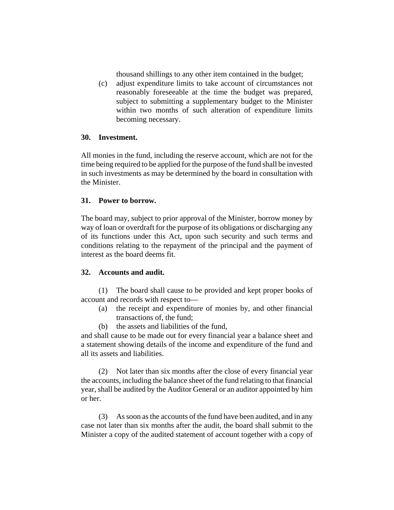thousand shillings to any other item contained in the budget;

(c) adjust expenditure limits to take account of circumstances not reasonably foreseeable at the time the budget was prepared, subject to submitting a supplementary budget to the Minister within two months of such alteration of expenditure limits becoming necessary.

## **30. Investment.**

All monies in the fund, including the reserve account, which are not for the time being required to be applied for the purpose of the fund shall be invested in such investments as may be determined by the board in consultation with the Minister.

# **31. Power to borrow.**

The board may, subject to prior approval of the Minister, borrow money by way of loan or overdraft for the purpose of its obligations or discharging any of its functions under this Act, upon such security and such terms and conditions relating to the repayment of the principal and the payment of interest as the board deems fit.

# **32. Accounts and audit.**

(1) The board shall cause to be provided and kept proper books of account and records with respect to—

- (a) the receipt and expenditure of monies by, and other financial transactions of, the fund;
- (b) the assets and liabilities of the fund,

and shall cause to be made out for every financial year a balance sheet and a statement showing details of the income and expenditure of the fund and all its assets and liabilities.

(2) Not later than six months after the close of every financial year the accounts, including the balance sheet of the fund relating to that financial year, shall be audited by the Auditor General or an auditor appointed by him or her.

(3) As soon as the accounts of the fund have been audited, and in any case not later than six months after the audit, the board shall submit to the Minister a copy of the audited statement of account together with a copy of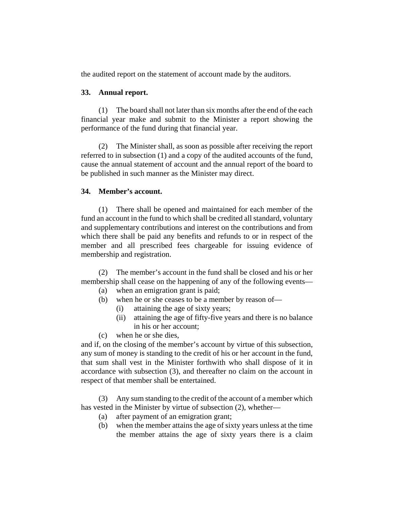the audited report on the statement of account made by the auditors.

## **33. Annual report.**

(1) The board shall not later than six months after the end of the each financial year make and submit to the Minister a report showing the performance of the fund during that financial year.

(2) The Minister shall, as soon as possible after receiving the report referred to in subsection (1) and a copy of the audited accounts of the fund, cause the annual statement of account and the annual report of the board to be published in such manner as the Minister may direct.

## **34. Member's account.**

(1) There shall be opened and maintained for each member of the fund an account in the fund to which shall be credited all standard, voluntary and supplementary contributions and interest on the contributions and from which there shall be paid any benefits and refunds to or in respect of the member and all prescribed fees chargeable for issuing evidence of membership and registration.

(2) The member's account in the fund shall be closed and his or her membership shall cease on the happening of any of the following events—

- (a) when an emigration grant is paid;
- (b) when he or she ceases to be a member by reason of—
	- (i) attaining the age of sixty years;
	- (ii) attaining the age of fifty-five years and there is no balance in his or her account;
- (c) when he or she dies,

and if, on the closing of the member's account by virtue of this subsection, any sum of money is standing to the credit of his or her account in the fund, that sum shall vest in the Minister forthwith who shall dispose of it in accordance with subsection (3), and thereafter no claim on the account in respect of that member shall be entertained.

(3) Any sum standing to the credit of the account of a member which has vested in the Minister by virtue of subsection (2), whether—

- (a) after payment of an emigration grant;
- (b) when the member attains the age of sixty years unless at the time the member attains the age of sixty years there is a claim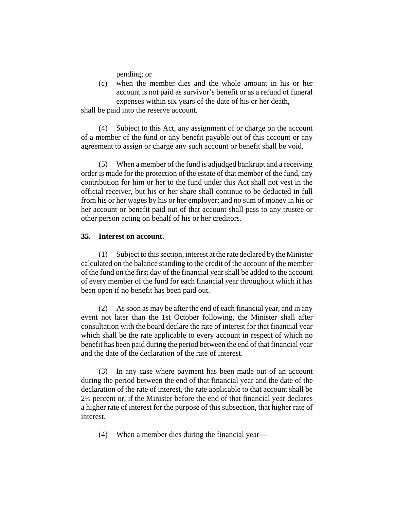pending; or

(c) when the member dies and the whole amount in his or her account is not paid as survivor's benefit or as a refund of funeral expenses within six years of the date of his or her death,

shall be paid into the reserve account.

(4) Subject to this Act, any assignment of or charge on the account of a member of the fund or any benefit payable out of this account or any agreement to assign or charge any such account or benefit shall be void.

(5) When a member of the fund is adjudged bankrupt and a receiving order is made for the protection of the estate of that member of the fund, any contribution for him or her to the fund under this Act shall not vest in the official receiver, but his or her share shall continue to be deducted in full from his or her wages by his or her employer; and no sum of money in his or her account or benefit paid out of that account shall pass to any trustee or other person acting on behalf of his or her creditors.

### **35. Interest on account.**

(1) Subject to this section, interest at the rate declared by the Minister calculated on the balance standing to the credit of the account of the member of the fund on the first day of the financial year shall be added to the account of every member of the fund for each financial year throughout which it has been open if no benefit has been paid out.

(2) As soon as may be after the end of each financial year, and in any event not later than the 1st October following, the Minister shall after consultation with the board declare the rate of interest for that financial year which shall be the rate applicable to every account in respect of which no benefit has been paid during the period between the end of that financial year and the date of the declaration of the rate of interest.

(3) In any case where payment has been made out of an account during the period between the end of that financial year and the date of the declaration of the rate of interest, the rate applicable to that account shall be 2½ percent or, if the Minister before the end of that financial year declares a higher rate of interest for the purpose of this subsection, that higher rate of interest.

(4) When a member dies during the financial year—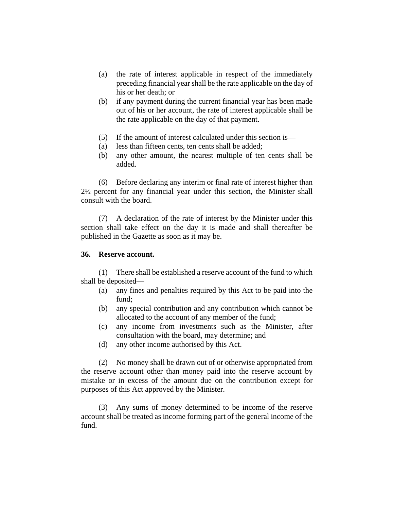- (a) the rate of interest applicable in respect of the immediately preceding financial year shall be the rate applicable on the day of his or her death; or
- (b) if any payment during the current financial year has been made out of his or her account, the rate of interest applicable shall be the rate applicable on the day of that payment.
- (5) If the amount of interest calculated under this section is—
- (a) less than fifteen cents, ten cents shall be added;
- (b) any other amount, the nearest multiple of ten cents shall be added.

(6) Before declaring any interim or final rate of interest higher than 2½ percent for any financial year under this section, the Minister shall consult with the board.

(7) A declaration of the rate of interest by the Minister under this section shall take effect on the day it is made and shall thereafter be published in the Gazette as soon as it may be.

### **36. Reserve account.**

(1) There shall be established a reserve account of the fund to which shall be deposited—

- (a) any fines and penalties required by this Act to be paid into the fund;
- (b) any special contribution and any contribution which cannot be allocated to the account of any member of the fund;
- (c) any income from investments such as the Minister, after consultation with the board, may determine; and
- (d) any other income authorised by this Act.

(2) No money shall be drawn out of or otherwise appropriated from the reserve account other than money paid into the reserve account by mistake or in excess of the amount due on the contribution except for purposes of this Act approved by the Minister.

(3) Any sums of money determined to be income of the reserve account shall be treated as income forming part of the general income of the fund.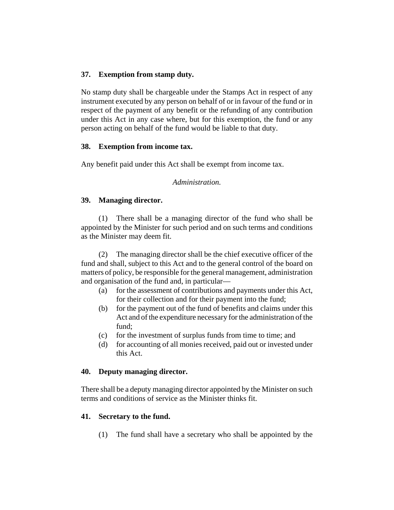# **37. Exemption from stamp duty.**

No stamp duty shall be chargeable under the Stamps Act in respect of any instrument executed by any person on behalf of or in favour of the fund or in respect of the payment of any benefit or the refunding of any contribution under this Act in any case where, but for this exemption, the fund or any person acting on behalf of the fund would be liable to that duty.

## **38. Exemption from income tax.**

Any benefit paid under this Act shall be exempt from income tax.

*Administration.*

# **39. Managing director.**

(1) There shall be a managing director of the fund who shall be appointed by the Minister for such period and on such terms and conditions as the Minister may deem fit.

(2) The managing director shall be the chief executive officer of the fund and shall, subject to this Act and to the general control of the board on matters of policy, be responsible for the general management, administration and organisation of the fund and, in particular—

- (a) for the assessment of contributions and payments under this Act, for their collection and for their payment into the fund;
- (b) for the payment out of the fund of benefits and claims under this Act and of the expenditure necessary for the administration of the fund;
- (c) for the investment of surplus funds from time to time; and
- (d) for accounting of all monies received, paid out or invested under this Act.

## **40. Deputy managing director.**

There shall be a deputy managing director appointed by the Minister on such terms and conditions of service as the Minister thinks fit.

## **41. Secretary to the fund.**

(1) The fund shall have a secretary who shall be appointed by the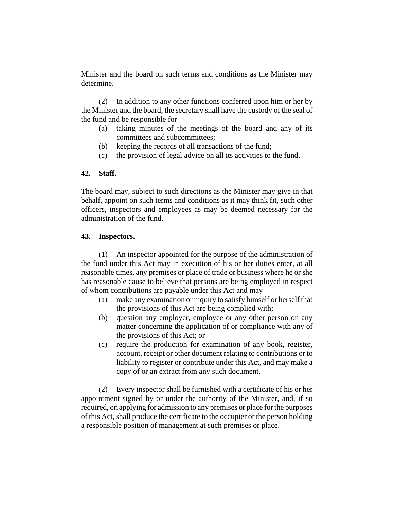Minister and the board on such terms and conditions as the Minister may determine.

(2) In addition to any other functions conferred upon him or her by the Minister and the board, the secretary shall have the custody of the seal of the fund and be responsible for—

- (a) taking minutes of the meetings of the board and any of its committees and subcommittees;
- (b) keeping the records of all transactions of the fund;
- (c) the provision of legal advice on all its activities to the fund.

# **42. Staff.**

The board may, subject to such directions as the Minister may give in that behalf, appoint on such terms and conditions as it may think fit, such other officers, inspectors and employees as may be deemed necessary for the administration of the fund.

# **43. Inspectors.**

(1) An inspector appointed for the purpose of the administration of the fund under this Act may in execution of his or her duties enter, at all reasonable times, any premises or place of trade or business where he or she has reasonable cause to believe that persons are being employed in respect of whom contributions are payable under this Act and may—

- (a) make any examination or inquiry to satisfy himself or herself that the provisions of this Act are being complied with;
- (b) question any employer, employee or any other person on any matter concerning the application of or compliance with any of the provisions of this Act; or
- (c) require the production for examination of any book, register, account, receipt or other document relating to contributions or to liability to register or contribute under this Act, and may make a copy of or an extract from any such document.

(2) Every inspector shall be furnished with a certificate of his or her appointment signed by or under the authority of the Minister, and, if so required, on applying for admission to any premises or place for the purposes of this Act, shall produce the certificate to the occupier or the person holding a responsible position of management at such premises or place.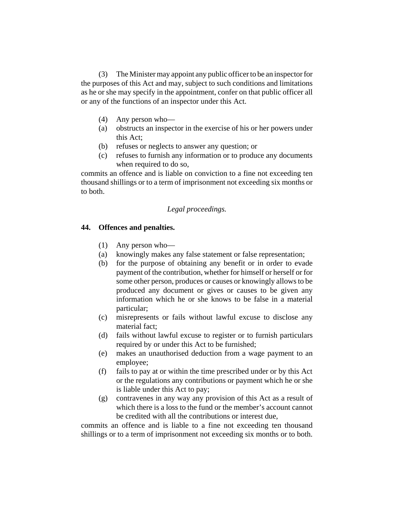(3) The Minister may appoint any public officer to be an inspector for the purposes of this Act and may, subject to such conditions and limitations as he or she may specify in the appointment, confer on that public officer all or any of the functions of an inspector under this Act.

- (4) Any person who—
- (a) obstructs an inspector in the exercise of his or her powers under this Act;
- (b) refuses or neglects to answer any question; or
- (c) refuses to furnish any information or to produce any documents when required to do so,

commits an offence and is liable on conviction to a fine not exceeding ten thousand shillings or to a term of imprisonment not exceeding six months or to both.

# *Legal proceedings.*

## **44. Offences and penalties.**

- (1) Any person who—
- (a) knowingly makes any false statement or false representation;
- (b) for the purpose of obtaining any benefit or in order to evade payment of the contribution, whether for himself or herself or for some other person, produces or causes or knowingly allows to be produced any document or gives or causes to be given any information which he or she knows to be false in a material particular;
- (c) misrepresents or fails without lawful excuse to disclose any material fact;
- (d) fails without lawful excuse to register or to furnish particulars required by or under this Act to be furnished;
- (e) makes an unauthorised deduction from a wage payment to an employee;
- (f) fails to pay at or within the time prescribed under or by this Act or the regulations any contributions or payment which he or she is liable under this Act to pay;
- (g) contravenes in any way any provision of this Act as a result of which there is a loss to the fund or the member's account cannot be credited with all the contributions or interest due,

commits an offence and is liable to a fine not exceeding ten thousand shillings or to a term of imprisonment not exceeding six months or to both.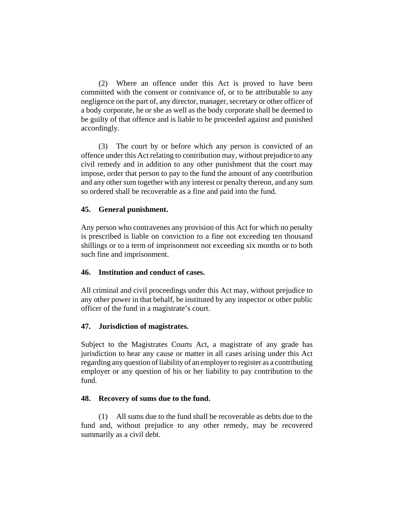(2) Where an offence under this Act is proved to have been committed with the consent or connivance of, or to be attributable to any negligence on the part of, any director, manager, secretary or other officer of a body corporate, he or she as well as the body corporate shall be deemed to be guilty of that offence and is liable to be proceeded against and punished accordingly.

(3) The court by or before which any person is convicted of an offence under this Act relating to contribution may, without prejudice to any civil remedy and in addition to any other punishment that the court may impose, order that person to pay to the fund the amount of any contribution and any other sum together with any interest or penalty thereon, and any sum so ordered shall be recoverable as a fine and paid into the fund.

## **45. General punishment.**

Any person who contravenes any provision of this Act for which no penalty is prescribed is liable on conviction to a fine not exceeding ten thousand shillings or to a term of imprisonment not exceeding six months or to both such fine and imprisonment.

## **46. Institution and conduct of cases.**

All criminal and civil proceedings under this Act may, without prejudice to any other power in that behalf, be instituted by any inspector or other public officer of the fund in a magistrate's court.

## **47. Jurisdiction of magistrates.**

Subject to the Magistrates Courts Act, a magistrate of any grade has jurisdiction to hear any cause or matter in all cases arising under this Act regarding any question of liability of an employer to register as a contributing employer or any question of his or her liability to pay contribution to the fund.

## **48. Recovery of sums due to the fund.**

(1) All sums due to the fund shall be recoverable as debts due to the fund and, without prejudice to any other remedy, may be recovered summarily as a civil debt.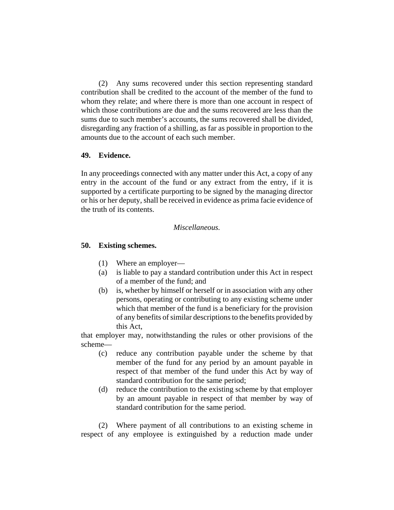(2) Any sums recovered under this section representing standard contribution shall be credited to the account of the member of the fund to whom they relate; and where there is more than one account in respect of which those contributions are due and the sums recovered are less than the sums due to such member's accounts, the sums recovered shall be divided, disregarding any fraction of a shilling, as far as possible in proportion to the amounts due to the account of each such member.

### **49. Evidence.**

In any proceedings connected with any matter under this Act, a copy of any entry in the account of the fund or any extract from the entry, if it is supported by a certificate purporting to be signed by the managing director or his or her deputy, shall be received in evidence as prima facie evidence of the truth of its contents.

## *Miscellaneous.*

## **50. Existing schemes.**

- (1) Where an employer—
- (a) is liable to pay a standard contribution under this Act in respect of a member of the fund; and
- (b) is, whether by himself or herself or in association with any other persons, operating or contributing to any existing scheme under which that member of the fund is a beneficiary for the provision of any benefits of similar descriptions to the benefits provided by this Act,

that employer may, notwithstanding the rules or other provisions of the scheme—

- (c) reduce any contribution payable under the scheme by that member of the fund for any period by an amount payable in respect of that member of the fund under this Act by way of standard contribution for the same period;
- (d) reduce the contribution to the existing scheme by that employer by an amount payable in respect of that member by way of standard contribution for the same period.

(2) Where payment of all contributions to an existing scheme in respect of any employee is extinguished by a reduction made under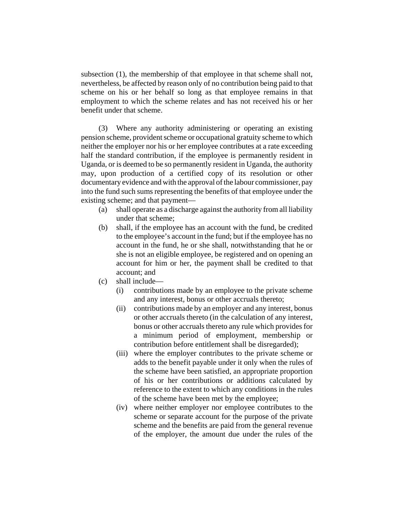subsection (1), the membership of that employee in that scheme shall not, nevertheless, be affected by reason only of no contribution being paid to that scheme on his or her behalf so long as that employee remains in that employment to which the scheme relates and has not received his or her benefit under that scheme.

(3) Where any authority administering or operating an existing pension scheme, provident scheme or occupational gratuity scheme to which neither the employer nor his or her employee contributes at a rate exceeding half the standard contribution, if the employee is permanently resident in Uganda, or is deemed to be so permanently resident in Uganda, the authority may, upon production of a certified copy of its resolution or other documentary evidence and with the approval of the labour commissioner, pay into the fund such sums representing the benefits of that employee under the existing scheme; and that payment—

- (a) shall operate as a discharge against the authority from all liability under that scheme;
- (b) shall, if the employee has an account with the fund, be credited to the employee's account in the fund; but if the employee has no account in the fund, he or she shall, notwithstanding that he or she is not an eligible employee, be registered and on opening an account for him or her, the payment shall be credited to that account; and
- (c) shall include—
	- (i) contributions made by an employee to the private scheme and any interest, bonus or other accruals thereto;
	- (ii) contributions made by an employer and any interest, bonus or other accruals thereto (in the calculation of any interest, bonus or other accruals thereto any rule which provides for a minimum period of employment, membership or contribution before entitlement shall be disregarded);
	- (iii) where the employer contributes to the private scheme or adds to the benefit payable under it only when the rules of the scheme have been satisfied, an appropriate proportion of his or her contributions or additions calculated by reference to the extent to which any conditions in the rules of the scheme have been met by the employee;
	- (iv) where neither employer nor employee contributes to the scheme or separate account for the purpose of the private scheme and the benefits are paid from the general revenue of the employer, the amount due under the rules of the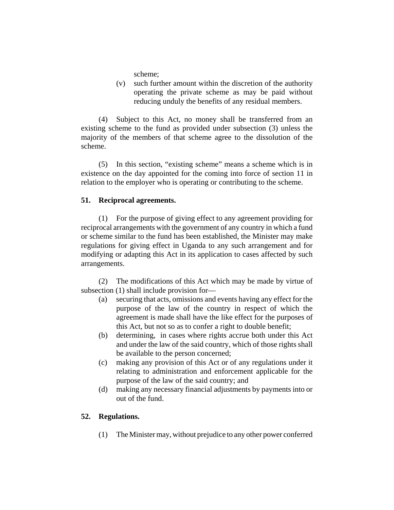scheme;

(v) such further amount within the discretion of the authority operating the private scheme as may be paid without reducing unduly the benefits of any residual members.

(4) Subject to this Act, no money shall be transferred from an existing scheme to the fund as provided under subsection (3) unless the majority of the members of that scheme agree to the dissolution of the scheme.

(5) In this section, "existing scheme" means a scheme which is in existence on the day appointed for the coming into force of section 11 in relation to the employer who is operating or contributing to the scheme.

# **51. Reciprocal agreements.**

(1) For the purpose of giving effect to any agreement providing for reciprocal arrangements with the government of any country in which a fund or scheme similar to the fund has been established, the Minister may make regulations for giving effect in Uganda to any such arrangement and for modifying or adapting this Act in its application to cases affected by such arrangements.

(2) The modifications of this Act which may be made by virtue of subsection (1) shall include provision for—

- (a) securing that acts, omissions and events having any effect for the purpose of the law of the country in respect of which the agreement is made shall have the like effect for the purposes of this Act, but not so as to confer a right to double benefit;
- (b) determining, in cases where rights accrue both under this Act and under the law of the said country, which of those rights shall be available to the person concerned;
- (c) making any provision of this Act or of any regulations under it relating to administration and enforcement applicable for the purpose of the law of the said country; and
- (d) making any necessary financial adjustments by payments into or out of the fund.

# **52. Regulations.**

(1) The Minister may, without prejudice to any other power conferred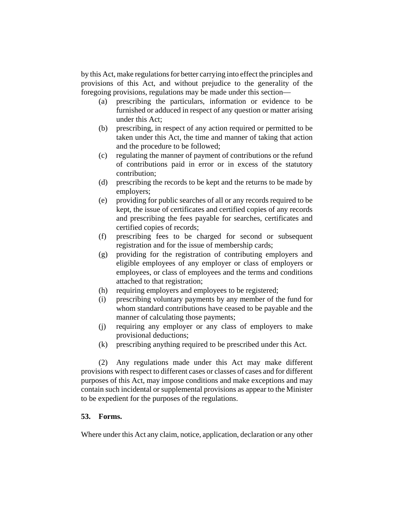by this Act, make regulations for better carrying into effect the principles and provisions of this Act, and without prejudice to the generality of the foregoing provisions, regulations may be made under this section—

- (a) prescribing the particulars, information or evidence to be furnished or adduced in respect of any question or matter arising under this Act;
- (b) prescribing, in respect of any action required or permitted to be taken under this Act, the time and manner of taking that action and the procedure to be followed;
- (c) regulating the manner of payment of contributions or the refund of contributions paid in error or in excess of the statutory contribution;
- (d) prescribing the records to be kept and the returns to be made by employers;
- (e) providing for public searches of all or any records required to be kept, the issue of certificates and certified copies of any records and prescribing the fees payable for searches, certificates and certified copies of records;
- (f) prescribing fees to be charged for second or subsequent registration and for the issue of membership cards;
- (g) providing for the registration of contributing employers and eligible employees of any employer or class of employers or employees, or class of employees and the terms and conditions attached to that registration;
- (h) requiring employers and employees to be registered;
- (i) prescribing voluntary payments by any member of the fund for whom standard contributions have ceased to be payable and the manner of calculating those payments;
- (j) requiring any employer or any class of employers to make provisional deductions;
- (k) prescribing anything required to be prescribed under this Act.

(2) Any regulations made under this Act may make different provisions with respect to different cases or classes of cases and for different purposes of this Act, may impose conditions and make exceptions and may contain such incidental or supplemental provisions as appear to the Minister to be expedient for the purposes of the regulations.

## **53. Forms.**

Where under this Act any claim, notice, application, declaration or any other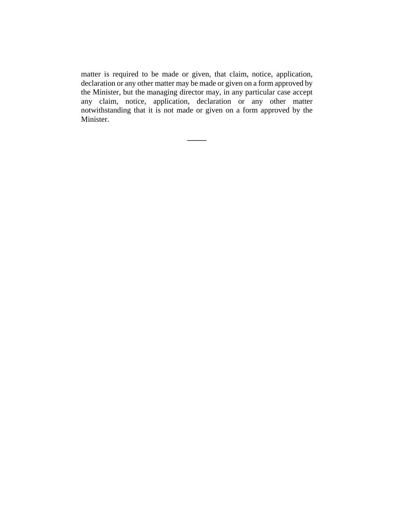matter is required to be made or given, that claim, notice, application, declaration or any other matter may be made or given on a form approved by the Minister, but the managing director may, in any particular case accept any claim, notice, application, declaration or any other matter notwithstanding that it is not made or given on a form approved by the Minister.

**\_\_\_\_\_**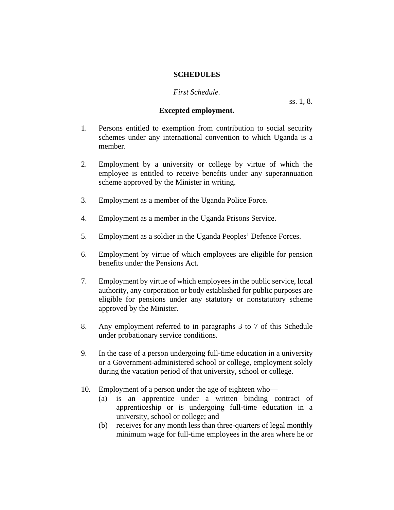### **SCHEDULES**

### *First Schedule.*

ss. 1, 8.

## **Excepted employment.**

- 1. Persons entitled to exemption from contribution to social security schemes under any international convention to which Uganda is a member.
- 2. Employment by a university or college by virtue of which the employee is entitled to receive benefits under any superannuation scheme approved by the Minister in writing.
- 3. Employment as a member of the Uganda Police Force.
- 4. Employment as a member in the Uganda Prisons Service.
- 5. Employment as a soldier in the Uganda Peoples' Defence Forces.
- 6. Employment by virtue of which employees are eligible for pension benefits under the Pensions Act.
- 7. Employment by virtue of which employees in the public service, local authority, any corporation or body established for public purposes are eligible for pensions under any statutory or nonstatutory scheme approved by the Minister.
- 8. Any employment referred to in paragraphs 3 to 7 of this Schedule under probationary service conditions.
- 9. In the case of a person undergoing full-time education in a university or a Government-administered school or college, employment solely during the vacation period of that university, school or college.
- 10. Employment of a person under the age of eighteen who—
	- (a) is an apprentice under a written binding contract of apprenticeship or is undergoing full-time education in a university, school or college; and
	- (b) receives for any month less than three-quarters of legal monthly minimum wage for full-time employees in the area where he or